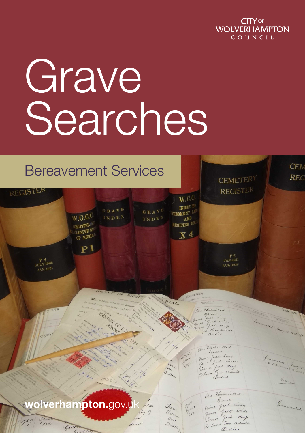

# Grave **Searches**

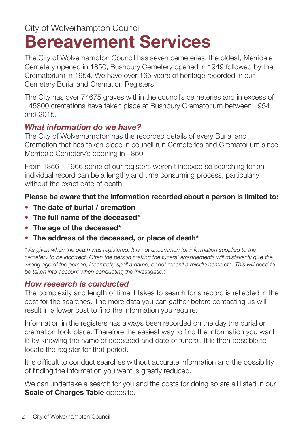## City of Wolverhampton Council **Bereavement Services**

The City of Wolverhampton Council has seven cemeteries, the oldest, Merridale Cemetery opened in 1850, Bushbury Cemetery opened in 1949 followed by the Crematorium in 1954. We have over 165 years of heritage recorded in our Cemetery Burial and Cremation Registers.

The City has over 74675 graves within the council's cemeteries and in excess of 145800 cremations have taken place at Bushbury Crematorium between 1954 and 2015.

#### *What information do we have?*

The City of Wolverhampton has the recorded details of every Burial and Cremation that has taken place in council run Cemeteries and Crematorium since Merridale Cemetery's opening in 1850.

From 1856 – 1966 some of our registers weren't indexed so searching for an individual record can be a lengthy and time consuming process, particularly without the exact date of death.

#### **Please be aware that the information recorded about a person is limited to:**

- **• The date of burial / cremation**
- **• The full name of the deceased\***
- **• The age of the deceased\***
- **• The address of the deceased, or place of death\***

\* As given when the death was registered. It is not uncommon for information supplied to the cemetery to be incorrect. Often the person making the funeral arrangements will mistakenly give the wrong age of the person, incorrectly spell a name, or not record a middle name etc. This will need to be taken into account when conducting the investigation.

#### *How research is conducted*

The complexity and length of time it takes to search for a record is reflected in the cost for the searches. The more data you can gather before contacting us will result in a lower cost to find the information you require.

Information in the registers has always been recorded on the day the burial or cremation took place. Therefore the easiest way to find the information you want is by knowing the name of deceased and date of funeral. It is then possible to locate the register for that period.

It is difficult to conduct searches without accurate information and the possibility of finding the information you want is greatly reduced.

We can undertake a search for you and the costs for doing so are all listed in our **Scale of Charges Table opposite.**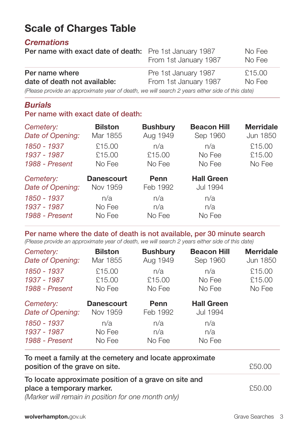### **Scale of Charges Table**

#### *Cremations*

| <b>Per name with exact date of death:</b> Pre 1st January 1987                                 | From 1st January 1987 | No Fee<br>No Fee |
|------------------------------------------------------------------------------------------------|-----------------------|------------------|
| Per name where                                                                                 | Pre 1st January 1987  | £15.00           |
| date of death not available:                                                                   | From 1st January 1987 | No Fee           |
| (Please provide an approximate year of death, we will search 2 years either side of this date) |                       |                  |

#### *Burials*

#### **Per name with exact date of death:**

| Cemetery:                     | <b>Bilston</b>    | <b>Bushbury</b> | <b>Beacon Hill</b> | <b>Merridale</b> |
|-------------------------------|-------------------|-----------------|--------------------|------------------|
| Date of Opening:              | Mar 1855          | Aug 1949        | Sep 1960           | Jun 1850         |
| 1850 - 1937                   | £15.00            | n/a             | n/a                | £15.00           |
| 1937 - 1987                   | £15.00            | £15.00          | No Fee             | £15.00           |
| 1988 - Present                | No Fee            | No Fee          | No Fee             | No Fee           |
| Cemetery:<br>Date of Opening: | <b>Danescourt</b> | Penn            | <b>Hall Green</b>  |                  |
|                               | Nov 1959          | Feb 1992        | Jul 1994           |                  |

#### **Per name where the date of death is not available, per 30 minute search**

(Please provide an approximate year of death, we will search 2 years either side of this date)

| Cemetery:        | <b>Bilston</b>    | <b>Bushbury</b> | <b>Beacon Hill</b> | <b>Merridale</b> |
|------------------|-------------------|-----------------|--------------------|------------------|
| Date of Opening: | Mar 1855          | Aug 1949        | Sep 1960           | Jun 1850         |
| 1850 - 1937      | £15.00            | n/a             | n/a                | £15.00           |
| 1937 - 1987      | £15.00            | £15.00          | No Fee             | £15.00           |
| 1988 - Present   | No Fee            | No Fee          | No Fee             | No Fee           |
| Cemetery:        | <b>Danescourt</b> | Penn            | <b>Hall Green</b>  |                  |
| Date of Opening: | Nov 1959          | Feb 1992        | Jul 1994           |                  |
| 1850 - 1937      | n/a               | n/a             | n/a                |                  |
| 1937 - 1987      | No Fee            | n/a             | n/a                |                  |
| 1988 - Present   | No Fee            | No Fee          | No Fee             |                  |

| To meet a family at the cemetery and locate approximate<br>position of the grave on site. | £50.00  |
|-------------------------------------------------------------------------------------------|---------|
| To locate approximate position of a grave on site and                                     |         |
| place a temporary marker.                                                                 | \$50.00 |
| (Marker will remain in position for one month only)                                       |         |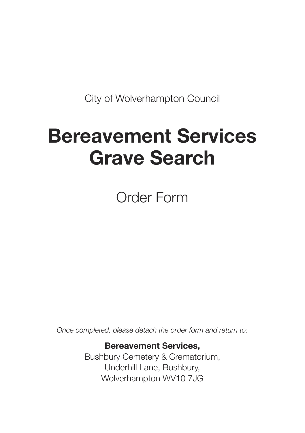City of Wolverhampton Council

# **Bereavement Services Grave Search**

Order Form

Once completed, please detach the order form and return to:

#### **Bereavement Services,**

Bushbury Cemetery & Crematorium, Underhill Lane, Bushbury, Wolverhampton WV10 7JG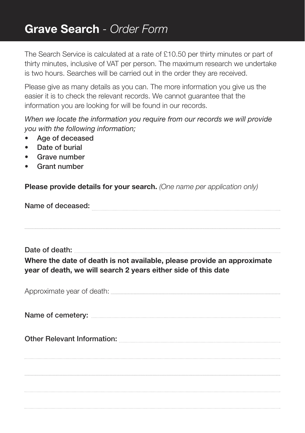The Search Service is calculated at a rate of £10.50 per thirty minutes or part of thirty minutes, inclusive of VAT per person. The maximum research we undertake is two hours. Searches will be carried out in the order they are received.

Please give as many details as you can. The more information you give us the easier it is to check the relevant records. We cannot guarantee that the information you are looking for will be found in our records.

When we locate the information you require from our records we will provide you with the following information;

- **• Age of deceased**
- **• Date of burial**
- **• Grave number**
- **• Grant number**

**Please provide details for your search.** (One name per application only)

**Name of deceased:**

**Date of death: Where the date of death is not available, please provide an approximate year of death, we will search 2 years either side of this date**

**Name of cemetery:** Approximate year of death: **Other Relevant Information:**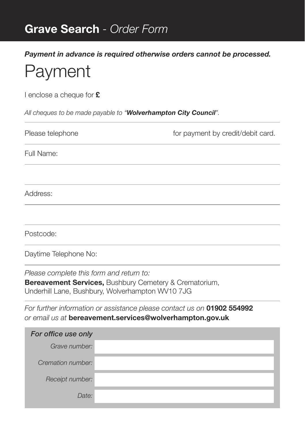*Payment in advance is required otherwise orders cannot be processed.*

# Payment

I enclose a cheque for **£**

All cheques to be made payable to "*Wolverhampton City Council*".

| for payment by credit/debit card.<br>Please telephone |  |
|-------------------------------------------------------|--|
| Full Name:                                            |  |
|                                                       |  |
| Address:                                              |  |
|                                                       |  |
| Postcode:                                             |  |
| Daytime Telephone No:                                 |  |
| Please complete this form and return to:              |  |

**Bereavement Services,** Bushbury Cemetery & Crematorium, Underhill Lane, Bushbury, Wolverhampton WV10 7JG

For further information or assistance please contact us on **01902 554992** or email us at **bereavement.services@wolverhampton.gov.uk**

| For office use only |  |
|---------------------|--|
| Grave number:       |  |
| Cremation number:   |  |
| Receipt number:     |  |
| Date:               |  |